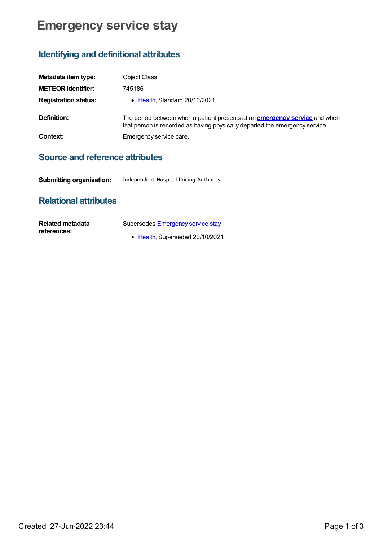## **Emergency service stay**

## **Identifying and definitional attributes**

| Metadata item type:         | <b>Object Class</b>                                                                                                                                                |
|-----------------------------|--------------------------------------------------------------------------------------------------------------------------------------------------------------------|
| <b>METEOR identifier:</b>   | 745186                                                                                                                                                             |
| <b>Registration status:</b> | • Health, Standard 20/10/2021                                                                                                                                      |
| Definition:                 | The period between when a patient presents at an <b>emergency service</b> and when<br>that person is recorded as having physically departed the emergency service. |
| Context:                    | Emergency service care.                                                                                                                                            |

## **Source and reference attributes**

**Submitting organisation:** Independent Hospital Pricing Authority

## **Relational attributes**

| Related metadata | Supersedes Emergency service stay |
|------------------|-----------------------------------|
| references:      |                                   |
|                  | • Health, Superseded 20/10/2021   |